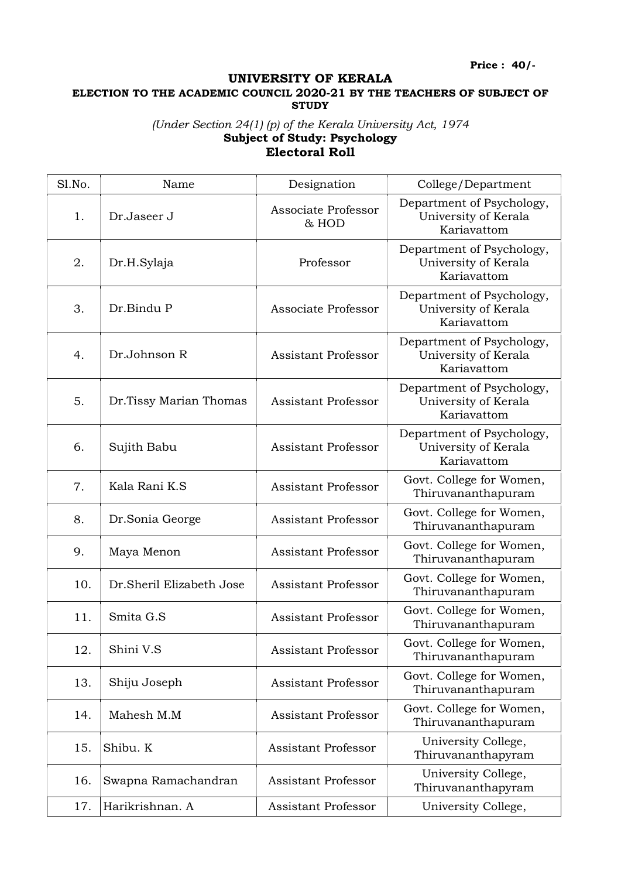Price : 40/-

## UNIVERSITY OF KERALA

ELECTION TO THE ACADEMIC COUNCIL 2020-21 BY THE TEACHERS OF SUBJECT OF **STUDY** 

## (Under Section 24(1) (p) of the Kerala University Act, 1974 Subject of Study: Psychology Electoral Roll

| Sl.No. | Name                     | Designation                  | College/Department                                               |
|--------|--------------------------|------------------------------|------------------------------------------------------------------|
| 1.     | Dr.Jaseer J              | Associate Professor<br>& HOD | Department of Psychology,<br>University of Kerala<br>Kariavattom |
| 2.     | Dr.H.Sylaja              | Professor                    | Department of Psychology,<br>University of Kerala<br>Kariavattom |
| 3.     | Dr.Bindu P               | Associate Professor          | Department of Psychology,<br>University of Kerala<br>Kariavattom |
| 4.     | Dr.Johnson R             | <b>Assistant Professor</b>   | Department of Psychology,<br>University of Kerala<br>Kariavattom |
| 5.     | Dr.Tissy Marian Thomas   | <b>Assistant Professor</b>   | Department of Psychology,<br>University of Kerala<br>Kariavattom |
| 6.     | Sujith Babu              | <b>Assistant Professor</b>   | Department of Psychology,<br>University of Kerala<br>Kariavattom |
| 7.     | Kala Rani K.S            | <b>Assistant Professor</b>   | Govt. College for Women,<br>Thiruvananthapuram                   |
| 8.     | Dr.Sonia George          | <b>Assistant Professor</b>   | Govt. College for Women,<br>Thiruvananthapuram                   |
| 9.     | Maya Menon               | <b>Assistant Professor</b>   | Govt. College for Women,<br>Thiruvananthapuram                   |
| 10.    | Dr.Sheril Elizabeth Jose | <b>Assistant Professor</b>   | Govt. College for Women,<br>Thiruvananthapuram                   |
| 11.    | Smita G.S                | <b>Assistant Professor</b>   | Govt. College for Women,<br>Thiruvananthapuram                   |
| 12.    | Shini V.S                | <b>Assistant Professor</b>   | Govt. College for Women,<br>Thiruvananthapuram                   |
| 13.    | Shiju Joseph             | <b>Assistant Professor</b>   | Govt. College for Women,<br>Thiruvananthapuram                   |
| 14.    | Mahesh M.M               | <b>Assistant Professor</b>   | Govt. College for Women,<br>Thiruvananthapuram                   |
| 15.    | Shibu. K                 | <b>Assistant Professor</b>   | University College,<br>Thiruvananthapyram                        |
| 16.    | Swapna Ramachandran      | <b>Assistant Professor</b>   | University College,<br>Thiruvananthapyram                        |
| 17.    | Harikrishnan. A          | <b>Assistant Professor</b>   | University College,                                              |